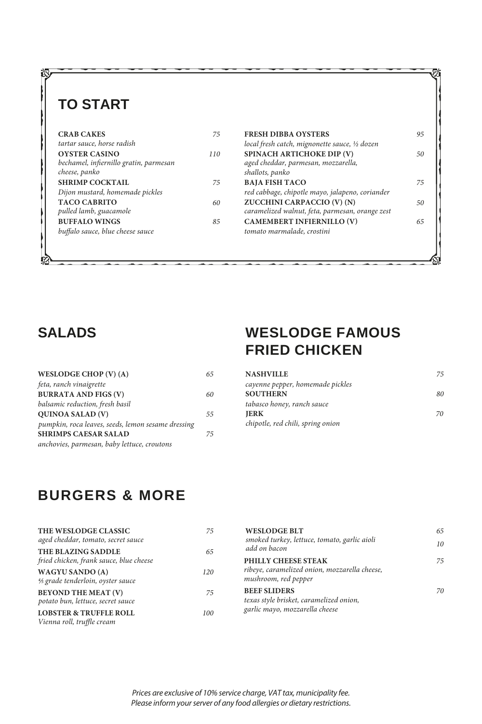# **TO START**

| <b>CRAB CAKES</b>                      | 75  |
|----------------------------------------|-----|
| tartar sauce, horse radish             |     |
| <b>OYSTER CASINO</b>                   | 110 |
| bechamel, infiernillo gratin, parmesan |     |
| cheese, panko                          |     |
| <b>SHRIMP COCKTAIL</b>                 | 75  |
| Dijon mustard, homemade pickles        |     |
| <b>TACO CABRITO</b>                    | 6Λ  |
| pulled lamb, guacamole                 |     |
| <b>BUFFALO WINGS</b>                   | 85  |
| buffalo sauce, blue cheese sauce       |     |
|                                        |     |

| 75 | <b>FRESH DIBBA OYSTERS</b>                                                    | 95 |
|----|-------------------------------------------------------------------------------|----|
|    | local fresh catch, mignonette sauce, 1/2 dozen                                |    |
| 10 | SPINACH ARTICHOKE DIP (V)<br>aged cheddar, parmesan, mozzarella,              | 50 |
|    | shallots, panko                                                               |    |
| 75 | <b>BAJA FISH TACO</b><br>red cabbage, chipotle mayo, jalapeno, coriander      | 75 |
| 60 | ZUCCHINI CARPACCIO (V) (N)<br>caramelized walnut, feta, parmesan, orange zest | 50 |
| 85 | <b>CAMEMBERT INFIERNILLO (V)</b>                                              | 65 |
|    | tomato marmalade, crostini                                                    |    |
|    |                                                                               |    |

#### **SALADS**

| WESLODGE CHOP $(V)$ $(A)$                          | 65 |
|----------------------------------------------------|----|
| feta, ranch vinaigrette                            |    |
| <b>BURRATA AND FIGS (V)</b>                        | 60 |
| balsamic reduction, fresh basil                    |    |
| QUINOA SALAD (V)                                   | 55 |
| pumpkin, roca leaves, seeds, lemon sesame dressing |    |
| <b>SHRIMPS CAESAR SALAD</b>                        | 75 |
| anchovies, parmesan, baby lettuce, croutons        |    |

#### **WESLODGE FAMOUS FRIED CHICKEN**

| <b>NASHVILLE</b>                  | 75 |
|-----------------------------------|----|
| cayenne pepper, homemade pickles  |    |
| <b>SOUTHERN</b>                   | 80 |
| tabasco honey, ranch sauce        |    |
| <b>IERK</b>                       | 70 |
| chipotle, red chili, spring onion |    |

## **BURGERS & MORE**

| THE WESLODGE CLASSIC<br>aged cheddar, tomato, secret sauce      | 75  | <b>WESLOD</b><br>smoked tur              |
|-----------------------------------------------------------------|-----|------------------------------------------|
| THE BLAZING SADDLE<br>fried chicken, frank sauce, blue cheese   | 65  | add on bac<br>PHILLY CI                  |
| <b>WAGYU SANDO (A)</b><br>4/5 grade tenderloin, oyster sauce    | 120 | ribeye, cara<br>mushroom,                |
| <b>BEYOND THE MEAT (V)</b><br>potato bun, lettuce, secret sauce | 75  | <b>BEEF SLID</b><br>texas style <i>k</i> |
| <b>LOBSTER &amp; TRUFFLE ROLL</b><br>Vienna roll, truffle cream | 100 | garlic mayo                              |

| <b>WESLODGE BLT</b><br>smoked turkey, lettuce, tomato, garlic aioli<br>add on bacon              | 65<br>10 |
|--------------------------------------------------------------------------------------------------|----------|
| PHILLY CHEESE STEAK<br>ribeye, caramelized onion, mozzarella cheese,<br>mushroom, red pepper     | 75       |
| <b>BEEF SLIDERS</b><br>texas style brisket, caramelized onion,<br>garlic mayo, mozzarella cheese | 70       |